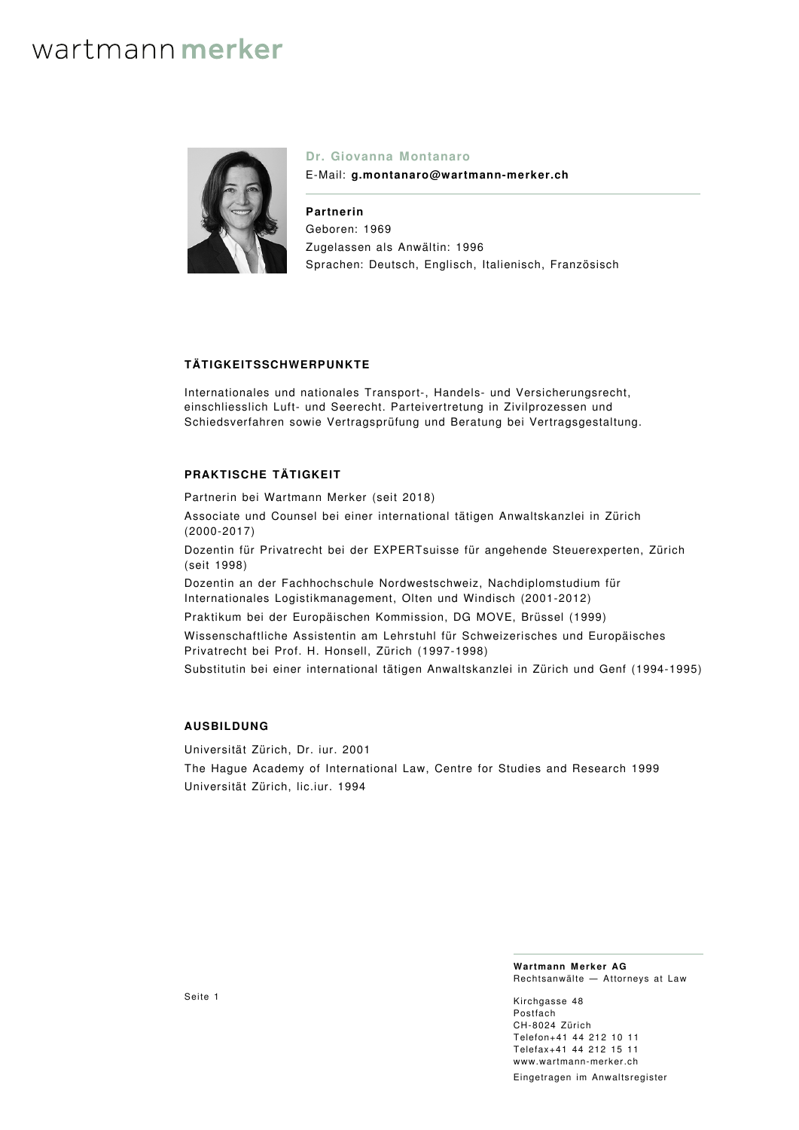

### **Dr. Giovanna Montanaro**

E-Mail: **g.montanaro@wartmann-merker.ch**

**Partnerin** Geboren: 1969 Zugelassen als Anwältin: 1996 Sprachen: Deutsch, Englisch, Italienisch, Französisch

### **TÄTIGKEITSSCHWERPUNKTE**

Internationales und nationales Transport-, Handels- und Versicherungsrecht, einschliesslich Luft- und Seerecht. Parteivertretung in Zivilprozessen und Schiedsverfahren sowie Vertragsprüfung und Beratung bei Vertragsgestaltung.

### **PRAKTISCHE TÄTIGKEIT**

Partnerin bei Wartmann Merker (seit 2018)

Associate und Counsel bei einer international tätigen Anwaltskanzlei in Zürich (2000-2017)

Dozentin für Privatrecht bei der EXPERTsuisse für angehende Steuerexperten, Zürich (seit 1998)

Dozentin an der Fachhochschule Nordwestschweiz, Nachdiplomstudium für Internationales Logistikmanagement, Olten und Windisch (2001-2012)

Praktikum bei der Europäischen Kommission, DG MOVE, Brüssel (1999)

Wissenschaftliche Assistentin am Lehrstuhl für Schweizerisches und Europäisches Privatrecht bei Prof. H. Honsell, Zürich (1997-1998)

Substitutin bei einer international tätigen Anwaltskanzlei in Zürich und Genf (1994-1995)

### **AUSBILDUNG**

Universität Zürich, Dr. iur. 2001 The Hague Academy of International Law, Centre for Studies and Research 1999 Universität Zürich, lic.iur. 1994

> **Wartmann Merker AG** Rechtsanwälte — Attorneys at Law

Kirchgasse 48 Postfach CH‑8024 Zürich Telefon+41 44 212 10 11 Telefax+41 44 212 15 11 [www.wartmann-merker.ch](https://www.wartmann-merker.ch) Eingetragen im Anwaltsregister

Seite 1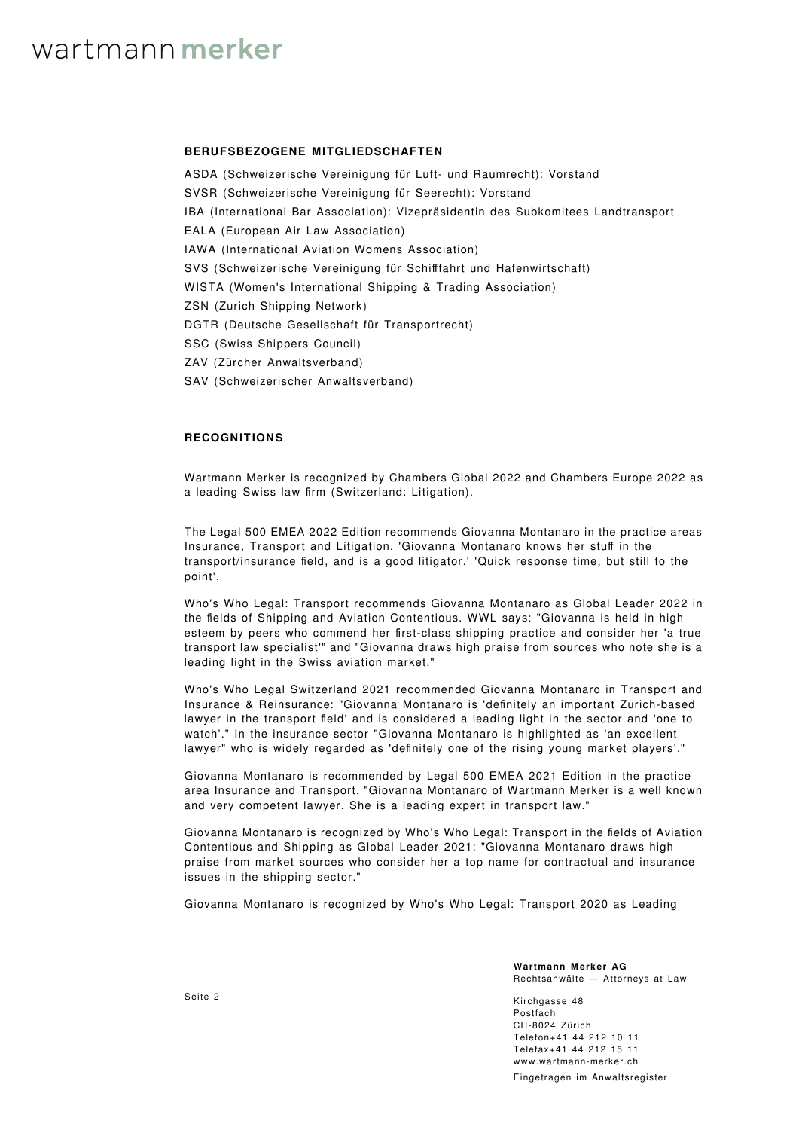### **BERUFSBEZOGENE MITGLIEDSCHAFTEN**

ASDA (Schweizerische Vereinigung für Luft- und Raumrecht): Vorstand SVSR (Schweizerische Vereinigung für Seerecht): Vorstand IBA (International Bar Association): Vizepräsidentin des Subkomitees Landtransport EALA (European Air Law Association) IAWA (International Aviation Womens Association) SVS (Schweizerische Vereinigung für Schifffahrt und Hafenwirtschaft) WISTA (Women's International Shipping & Trading Association) ZSN (Zurich Shipping Network) DGTR (Deutsche Gesellschaft für Transportrecht) SSC (Swiss Shippers Council) ZAV (Zürcher Anwaltsverband) SAV (Schweizerischer Anwaltsverband)

### **RECOGNITIONS**

Wartmann Merker is recognized by [Chambers Global 2022](https://chambers.com/law-firm/wartmann-merker-global-2:201034) and [Chambers Europe 2022](https://chambers.com/law-firm/wartmann-merker-europe-7:201034) as a leading Swiss law firm (Switzerland: Litigation).

The Legal 500 EMEA 2022 Edition recommends Giovanna Montanaro in the practice areas Insurance, Transport and Litigation. 'Giovanna Montanaro knows her stuff in the transport/insurance field, and is a good litigator.' 'Quick response time, but still to the point'.

[Who's Who Legal: Transport](https://whoswholegal.com/giovanna-montanaro) recommends Giovanna Montanaro as Global Leader 2022 in the fields of Shipping and Aviation Contentious. WWL says: "Giovanna is held in high esteem by peers who commend her first-class shipping practice and consider her 'a true transport law specialist'" and "Giovanna draws high praise from sources who note she is a leading light in the Swiss aviation market."

[Who's Who Legal Switzerland 2021](https://whoswholegal.com/giovanna-montanaro) recommended Giovanna Montanaro in Transport and Insurance & Reinsurance: "Giovanna Montanaro is 'definitely an important Zurich-based lawyer in the transport field' and is considered a leading light in the sector and 'one to watch'." In the insurance sector "Giovanna Montanaro is highlighted as 'an excellent lawyer" who is widely regarded as 'definitely one of the rising young market players'."

Giovanna Montanaro is recommended by Legal 500 EMEA 2021 Edition in the practice area Insurance and Transport. "Giovanna Montanaro of Wartmann Merker is a well known and very competent lawyer. She is a leading expert in transport law."

Giovanna Montanaro is recognized by [Who's Who Legal: Transport in the fields of Aviation](https://whoswholegal.com/giovanna-montanaro) [Contentious and Shipping](https://whoswholegal.com/giovanna-montanaro) as Global Leader 2021: "Giovanna Montanaro draws high praise from market sources who consider her a top name for contractual and insurance issues in the shipping sector."

Giovanna Montanaro is recognized by Who's Who Legal: Transport 2020 as Leading

**Wartmann Merker AG** Rechtsanwälte — Attorneys at Law

Kirchgasse 48 Postfach CH‑8024 Zürich Telefon+41 44 212 10 11 Telefax+41 44 212 15 11 [www.wartmann-merker.ch](https://www.wartmann-merker.ch) Eingetragen im Anwaltsregister

Seite 2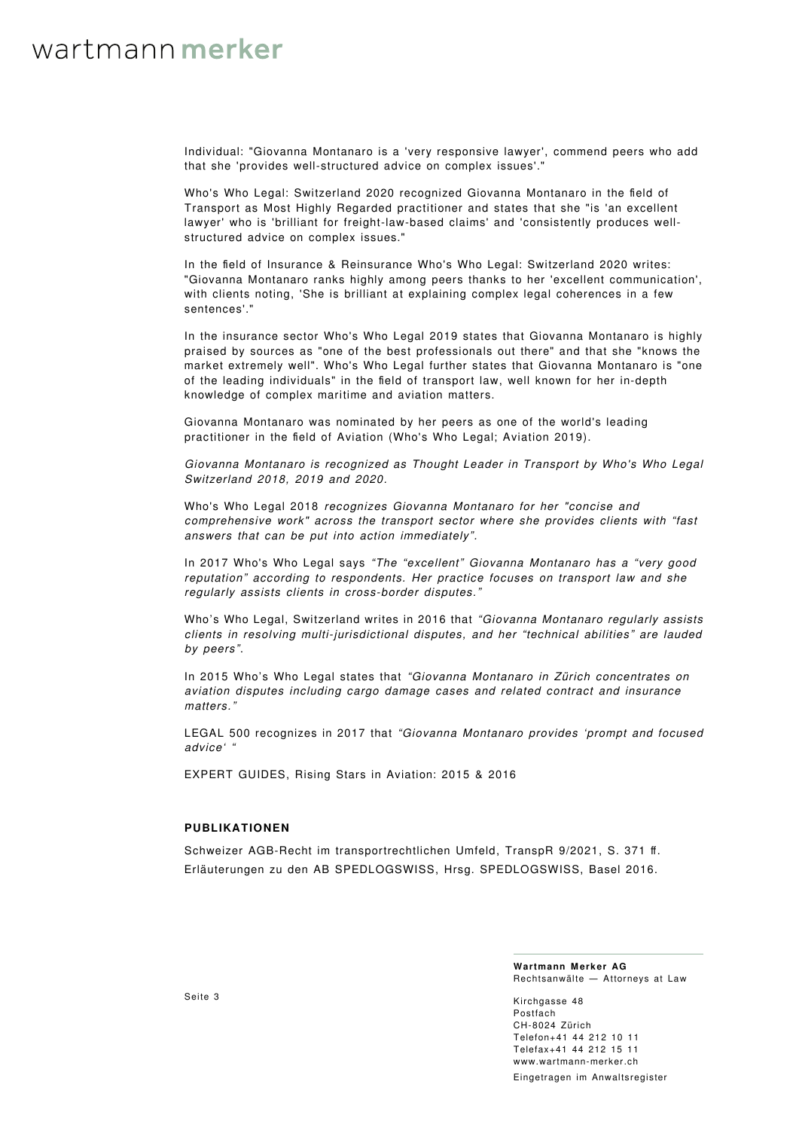Individual: "Giovanna Montanaro is a 'very responsive lawyer', commend peers who add that she 'provides well-structured advice on complex issues'."

Who's Who Legal: Switzerland 2020 recognized Giovanna Montanaro in the field of Transport as Most Highly Regarded practitioner and states that she "is 'an excellent lawyer' who is 'brilliant for freight-law-based claims' and 'consistently produces wellstructured advice on complex issues."

In the field of Insurance & Reinsurance Who's Who Legal: Switzerland 2020 writes: "Giovanna Montanaro ranks highly among peers thanks to her 'excellent communication', with clients noting, 'She is brilliant at explaining complex legal coherences in a few sentences'.'

In the insurance sector Who's Who Legal 2019 states that Giovanna Montanaro is highly praised by sources as "one of the best professionals out there" and that she "knows the market extremely well". Who's Who Legal further states that Giovanna Montanaro is "one of the leading individuals" in the field of transport law, well known for her in-depth knowledge of complex maritime and aviation matters.

Giovanna Montanaro was nominated by her peers as one of the world's leading practitioner in the field of Aviation (Who's Who Legal; Aviation 2019).

Giovanna Montanaro is recognized as Thought Leader in Transport by Who's Who Legal Switzerland 2018, 2019 and 2020.

Who's Who Legal 2018 recognizes Giovanna Montanaro for her "concise and comprehensive work" across the transport sector where she provides clients with "fast answers that can be put into action immediately".

In 2017 Who's Who Legal says "The "excellent" Giovanna Montanaro has a "very good reputation" according to respondents. Her practice focuses on transport law and she regularly assists clients in cross-border disputes."

Who's Who Legal, Switzerland writes in 2016 that "Giovanna Montanaro regularly assists clients in resolving multi-jurisdictional disputes, and her "technical abilities" are lauded by peers".

In 2015 Who's Who Legal states that "Giovanna Montanaro in Zürich concentrates on aviation disputes including cargo damage cases and related contract and insurance matters."

LEGAL 500 recognizes in 2017 that "Giovanna Montanaro provides 'prompt and focused advice' "

EXPERT GUIDES, Rising Stars in Aviation: 2015 & 2016

### **PUBLIKATIONEN**

Schweizer AGB-Recht im transportrechtlichen Umfeld, TranspR 9/2021, S. 371 ff. Erläuterungen zu den AB SPEDLOGSWISS, Hrsg. SPEDLOGSWISS, Basel 2016.

> **Wartmann Merker AG** Rechtsanwälte — Attorneys at Law

Kirchgasse 48 Postfach CH‑8024 Zürich Telefon+41 44 212 10 11 Telefax+41 44 212 15 11 [www.wartmann-merker.ch](https://www.wartmann-merker.ch) Eingetragen im Anwaltsregister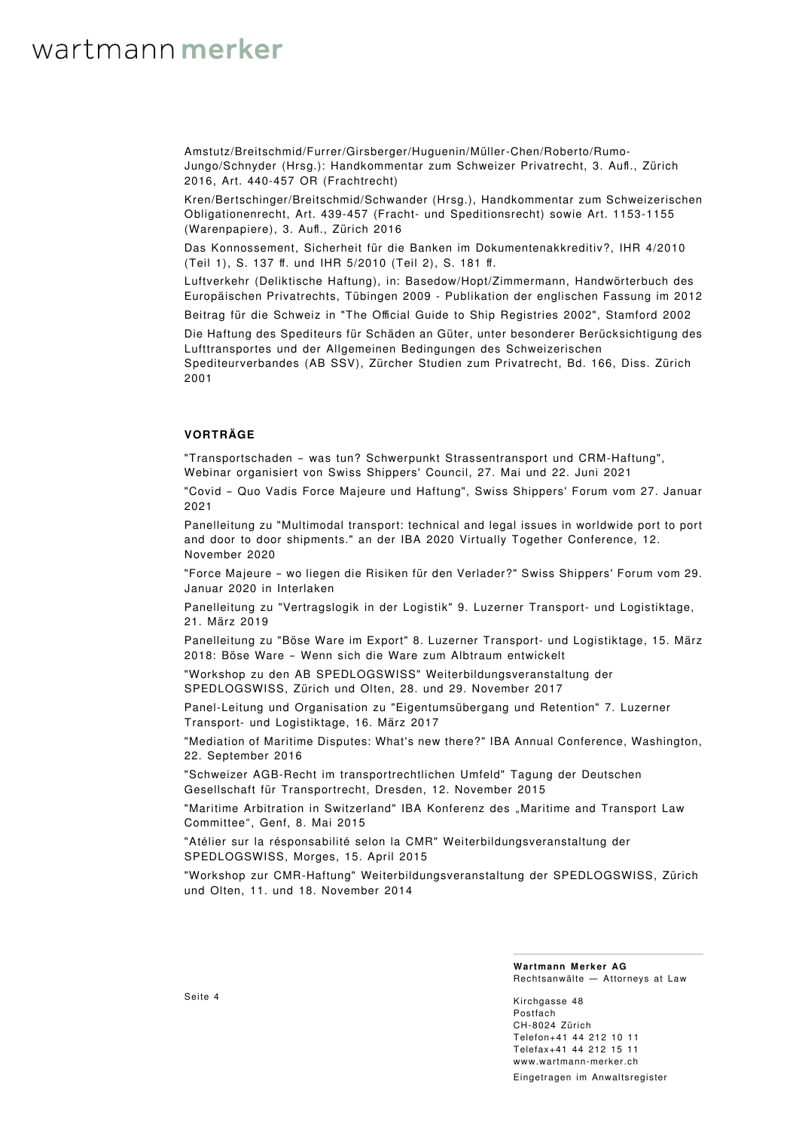Amstutz/Breitschmid/Furrer/Girsberger/Huguenin/Müller-Chen/Roberto/Rumo-Jungo/Schnyder (Hrsg.): Handkommentar zum Schweizer Privatrecht, 3. Aufl., Zürich 2016, Art. 440-457 OR (Frachtrecht)

Kren/Bertschinger/Breitschmid/Schwander (Hrsg.), Handkommentar zum Schweizerischen Obligationenrecht, Art. 439-457 (Fracht- und Speditionsrecht) sowie Art. 1153-1155 (Warenpapiere), 3. Aufl., Zürich 2016

Das Konnossement, Sicherheit für die Banken im Dokumentenakkreditiv?, IHR 4/2010 (Teil 1), S. 137 ff. und IHR 5/2010 (Teil 2), S. 181 ff.

Luftverkehr (Deliktische Haftung), in: Basedow/Hopt/Zimmermann, Handwörterbuch des Europäischen Privatrechts, Tübingen 2009 - Publikation der englischen Fassung im 2012

Beitrag für die Schweiz in "The Official Guide to Ship Registries 2002", Stamford 2002

Die Haftung des Spediteurs für Schäden an Güter, unter besonderer Berücksichtigung des Lufttransportes und der Allgemeinen Bedingungen des Schweizerischen Spediteurverbandes (AB SSV), Zürcher Studien zum Privatrecht, Bd. 166, Diss. Zürich

2001

### **VORTRÄGE**

"Transportschaden – was tun? Schwerpunkt Strassentransport und CRM-Haftung", Webinar organisiert von Swiss Shippers' Council, 27. Mai und 22. Juni 2021

"Covid – Quo Vadis Force Majeure und Haftung", Swiss Shippers' Forum vom 27. Januar 2021

Panelleitung zu "Multimodal transport: technical and legal issues in worldwide port to port and door to door shipments." an der IBA 2020 Virtually Together Conference, 12. November 2020

"Force Majeure – wo liegen die Risiken für den Verlader?" Swiss Shippers' Forum vom 29. Januar 2020 in Interlaken

Panelleitung zu "Vertragslogik in der Logistik" 9. Luzerner Transport- und Logistiktage, 21. März 2019

Panelleitung zu "Böse Ware im Export" 8. Luzerner Transport- und Logistiktage, 15. März 2018: Böse Ware – Wenn sich die Ware zum Albtraum entwickelt

"Workshop zu den AB SPEDLOGSWISS" Weiterbildungsveranstaltung der SPEDLOGSWISS, Zürich und Olten, 28. und 29. November 2017

Panel-Leitung und Organisation zu "Eigentumsübergang und Retention" 7. Luzerner Transport- und Logistiktage, 16. März 2017

"Mediation of Maritime Disputes: What's new there?" IBA Annual Conference, Washington, 22. September 2016

"Schweizer AGB-Recht im transportrechtlichen Umfeld" Tagung der Deutschen Gesellschaft für Transportrecht, Dresden, 12. November 2015

"Maritime Arbitration in Switzerland" IBA Konferenz des "Maritime and Transport Law Committee", Genf, 8. Mai 2015

"Atélier sur la résponsabilité selon la CMR" Weiterbildungsveranstaltung der SPEDLOGSWISS, Morges, 15. April 2015

"Workshop zur CMR-Haftung" Weiterbildungsveranstaltung der SPEDLOGSWISS, Zürich und Olten, 11. und 18. November 2014

#### **Wartmann Merker AG** Rechtsanwälte — Attorneys at Law

Kirchgasse 48 Postfach CH‑8024 Zürich Telefon+41 44 212 10 11 Telefax+41 44 212 15 11 [www.wartmann-merker.ch](https://www.wartmann-merker.ch) Eingetragen im Anwaltsregister